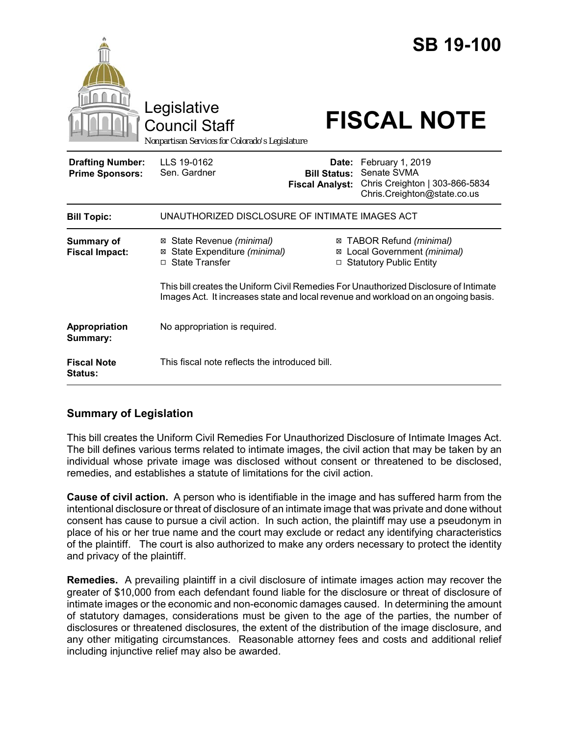|                                                   | Legislative<br><b>Council Staff</b><br>Nonpartisan Services for Colorado's Legislature                                                                                     |                                                        | <b>SB 19-100</b><br><b>FISCAL NOTE</b>                                                           |
|---------------------------------------------------|----------------------------------------------------------------------------------------------------------------------------------------------------------------------------|--------------------------------------------------------|--------------------------------------------------------------------------------------------------|
| <b>Drafting Number:</b><br><b>Prime Sponsors:</b> | LLS 19-0162<br>Sen. Gardner                                                                                                                                                | Date:<br><b>Bill Status:</b><br><b>Fiscal Analyst:</b> | February 1, 2019<br>Senate SVMA<br>Chris Creighton   303-866-5834<br>Chris.Creighton@state.co.us |
| <b>Bill Topic:</b>                                | UNAUTHORIZED DISCLOSURE OF INTIMATE IMAGES ACT                                                                                                                             |                                                        |                                                                                                  |
| <b>Summary of</b><br><b>Fiscal Impact:</b>        | ⊠ State Revenue (minimal)<br>⊠ State Expenditure (minimal)<br>□ State Transfer                                                                                             |                                                        | ⊠ TABOR Refund (minimal)<br>⊠ Local Government (minimal)<br>□ Statutory Public Entity            |
|                                                   | This bill creates the Uniform Civil Remedies For Unauthorized Disclosure of Intimate<br>Images Act. It increases state and local revenue and workload on an ongoing basis. |                                                        |                                                                                                  |
| Appropriation<br>Summary:                         | No appropriation is required.                                                                                                                                              |                                                        |                                                                                                  |
| <b>Fiscal Note</b><br><b>Status:</b>              | This fiscal note reflects the introduced bill.                                                                                                                             |                                                        |                                                                                                  |

# **Summary of Legislation**

This bill creates the Uniform Civil Remedies For Unauthorized Disclosure of Intimate Images Act. The bill defines various terms related to intimate images, the civil action that may be taken by an individual whose private image was disclosed without consent or threatened to be disclosed, remedies, and establishes a statute of limitations for the civil action.

**Cause of civil action.** A person who is identifiable in the image and has suffered harm from the intentional disclosure or threat of disclosure of an intimate image that was private and done without consent has cause to pursue a civil action. In such action, the plaintiff may use a pseudonym in place of his or her true name and the court may exclude or redact any identifying characteristics of the plaintiff. The court is also authorized to make any orders necessary to protect the identity and privacy of the plaintiff.

**Remedies.** A prevailing plaintiff in a civil disclosure of intimate images action may recover the greater of \$10,000 from each defendant found liable for the disclosure or threat of disclosure of intimate images or the economic and non-economic damages caused. In determining the amount of statutory damages, considerations must be given to the age of the parties, the number of disclosures or threatened disclosures, the extent of the distribution of the image disclosure, and any other mitigating circumstances. Reasonable attorney fees and costs and additional relief including injunctive relief may also be awarded.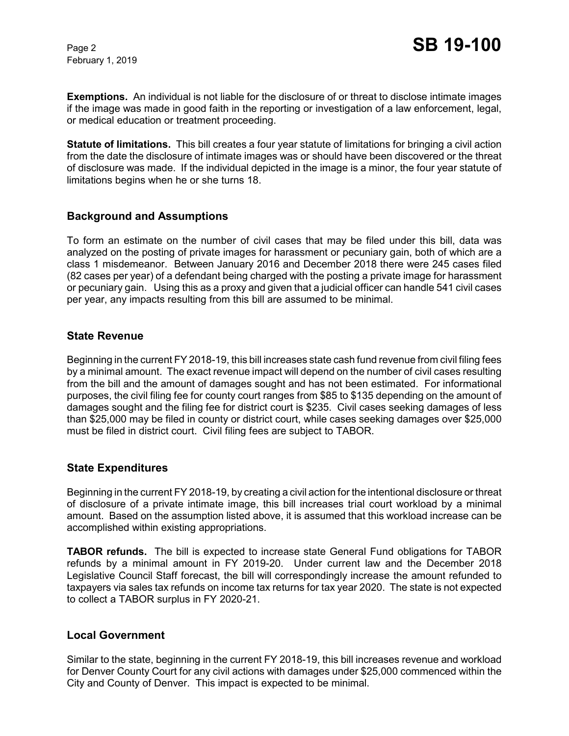February 1, 2019

**Exemptions.** An individual is not liable for the disclosure of or threat to disclose intimate images if the image was made in good faith in the reporting or investigation of a law enforcement, legal, or medical education or treatment proceeding.

**Statute of limitations.** This bill creates a four year statute of limitations for bringing a civil action from the date the disclosure of intimate images was or should have been discovered or the threat of disclosure was made. If the individual depicted in the image is a minor, the four year statute of limitations begins when he or she turns 18.

## **Background and Assumptions**

To form an estimate on the number of civil cases that may be filed under this bill, data was analyzed on the posting of private images for harassment or pecuniary gain, both of which are a class 1 misdemeanor. Between January 2016 and December 2018 there were 245 cases filed (82 cases per year) of a defendant being charged with the posting a private image for harassment or pecuniary gain. Using this as a proxy and given that a judicial officer can handle 541 civil cases per year, any impacts resulting from this bill are assumed to be minimal.

#### **State Revenue**

Beginning in the current FY 2018-19, this bill increases state cash fund revenue from civil filing fees by a minimal amount. The exact revenue impact will depend on the number of civil cases resulting from the bill and the amount of damages sought and has not been estimated. For informational purposes, the civil filing fee for county court ranges from \$85 to \$135 depending on the amount of damages sought and the filing fee for district court is \$235. Civil cases seeking damages of less than \$25,000 may be filed in county or district court, while cases seeking damages over \$25,000 must be filed in district court. Civil filing fees are subject to TABOR.

## **State Expenditures**

Beginning in the current FY 2018-19, by creating a civil action for the intentional disclosure or threat of disclosure of a private intimate image, this bill increases trial court workload by a minimal amount. Based on the assumption listed above, it is assumed that this workload increase can be accomplished within existing appropriations.

**TABOR refunds.** The bill is expected to increase state General Fund obligations for TABOR refunds by a minimal amount in FY 2019-20. Under current law and the December 2018 Legislative Council Staff forecast, the bill will correspondingly increase the amount refunded to taxpayers via sales tax refunds on income tax returns for tax year 2020. The state is not expected to collect a TABOR surplus in FY 2020-21.

#### **Local Government**

Similar to the state, beginning in the current FY 2018-19, this bill increases revenue and workload for Denver County Court for any civil actions with damages under \$25,000 commenced within the City and County of Denver. This impact is expected to be minimal.